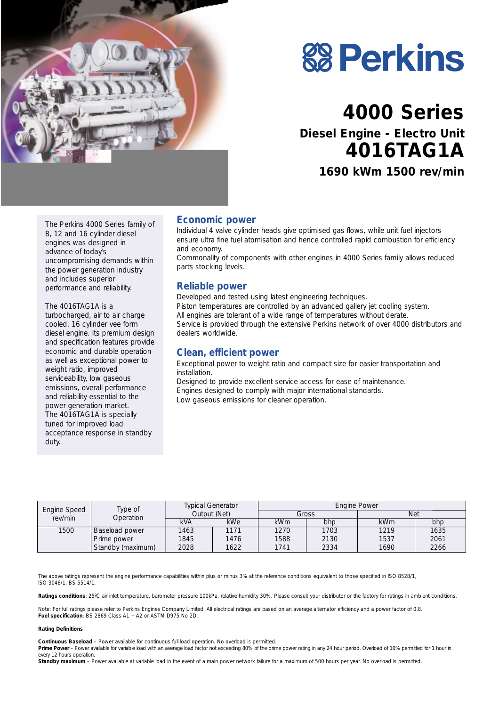



## **4000 Series Diesel Engine - Electro Unit 4016TAG1A 1690 kWm 1500 rev/min**

The Perkins 4000 Series family of 8, 12 and 16 cylinder diesel engines was designed in advance of today's uncompromising demands within the power generation industry and includes superior performance and reliability.

The 4016TAG1A is a

turbocharged, air to air charge cooled, 16 cylinder vee form diesel engine. Its premium design and specification features provide economic and durable operation as well as exceptional power to weight ratio, improved serviceability, low gaseous emissions, overall performance and reliability essential to the power generation market. The 4016TAG1A is specially tuned for improved load acceptance response in standby duty.

#### **Economic power**

Individual 4 valve cylinder heads give optimised gas flows, while unit fuel injectors ensure ultra fine fuel atomisation and hence controlled rapid combustion for efficiency and economy.

Commonality of components with other engines in 4000 Series family allows reduced parts stocking levels.

#### **Reliable power**

Developed and tested using latest engineering techniques. Piston temperatures are controlled by an advanced gallery jet cooling system. All engines are tolerant of a wide range of temperatures without derate. Service is provided through the extensive Perkins network of over 4000 distributors and dealers worldwide.

#### **Clean, efficient power**

Exceptional power to weight ratio and compact size for easier transportation and installation.

Designed to provide excellent service access for ease of maintenance. Engines designed to comply with major international standards. Low gaseous emissions for cleaner operation.

| Engine Speed<br>rev/min | Type of<br>Operation | <b>Typical Generator</b><br>Output (Net) |      | Engine Power |      |            |      |
|-------------------------|----------------------|------------------------------------------|------|--------------|------|------------|------|
|                         |                      |                                          |      | Gross        |      | Net        |      |
|                         |                      | kVA                                      | kWe  | <b>kWm</b>   | bhp  | <b>kWm</b> | bhp  |
| 1500                    | Baseload power       | 1463                                     | 1171 | 1270         | 1703 | 1219       | 1635 |
|                         | Prime power          | 1845                                     | 1476 | 1588         | 2130 | 1537       | 2061 |
|                         | Standby (maximum)    | 2028                                     | 1622 | 1741         | 2334 | 1690       | 2266 |

The above ratings represent the engine performance capabilities within plus or minus 3% at the reference conditions equivalent to those specified in ISO 8528/1, ISO 3046/1, BS 5514/1.

Ratings conditions: 25°C air inlet temperature, barometer pressure 100kPa, relative humidity 30%. Please consult your distributor or the factory for ratings in ambient conditions.

*Note:* For full ratings please refer to Perkins Engines Company Limited. All electrical ratings are based on an average alternator efficiency and a power factor of 0.8. **Fuel specification**: BS 2869 Class A1 + A2 or ASTM D975 No 2D.

#### **Rating Definitions**

**Continuous Baseload** – Power available for continuous full load operation. No overload is permitted.

Prime Power – Power available for variable load with an average load factor not exceeding 80% of the prime power rating in any 24 hour period. Overload of 10% permitted for 1 hour in every 12 hours operation.

Standby maximum - Power available at variable load in the event of a main power network failure for a maximum of 500 hours per year. No overload is permitted